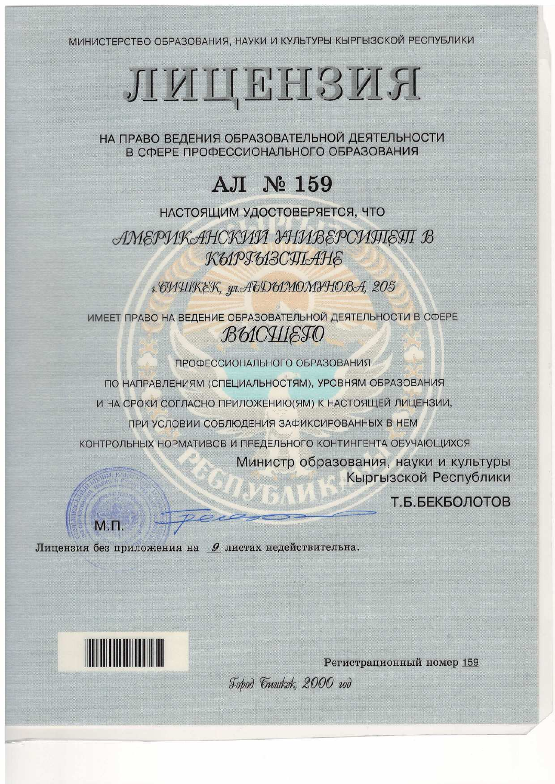МИНИСТЕРСТВО ОБРАЗОВАНИЯ, НАУКИ И КУЛЬТУРЫ КЫРГЫЗСКОЙ РЕСПУБЛИКИ

# RELEFFECTIVE

НА ПРАВО ВЕДЕНИЯ ОБРАЗОВАТЕЛЬНОЙ ДЕЯТЕЛЬНОСТИ В СФЕРЕ ПРОФЕССИОНАЛЬНОГО ОБРАЗОВАНИЯ

# A.II № 159

НАСТОЯЩИМ УДОСТОВЕРЯЕТСЯ, ЧТО АМЕРИКАНСКИЙ УНИВЕРСИПІЕЯТ В КЫРГЫЗСЯЬАНЕ

1. THIIKEK, wt. ATD61MOMIHOBA, 205

ИМЕЕТ ПРАВО НА ВЕДЕНИЕ ОБРАЗОВАТЕЛЬНОЙ ДЕЯТЕЛЬНОСТИ В СФЕРЕ **BUCHIETO** 

ПРОФЕССИОНАЛЬНОГО ОБРАЗОВАНИЯ

ПО НАПРАВЛЕНИЯМ (СПЕЦИАЛЬНОСТЯМ), УРОВНЯМ ОБРАЗОВАНИЯ

И НА СРОКИ СОГЛАСНО ПРИЛОЖЕНИЮ (ЯМ) К НАСТОЯЩЕЙ ЛИЦЕНЗИИ,

ПРИ УСЛОВИИ СОБЛЮДЕНИЯ ЗАФИКСИРОВАННЫХ В НЕМ

КОНТРОЛЬНЫХ НОРМАТИВОВ И ПРЕДЕЛЬНОГО КОНТИНГЕНТА ОБУЧАЮЩИХСЯ

Министр образования, науки и культуры Кыргызской Республики

Т.Б.БЕКБОЛОТОВ

M<sub>D</sub>

Лицензия без приложения на 9 листах недействительна.



Регистрационный номер 159 Jobod Gunkek, 2000 rod